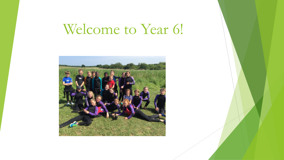# Welcome to Year 6!

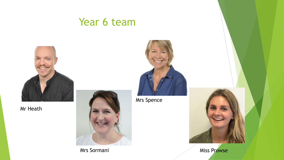## Year 6 team



Mr Heath



Mrs Sormani



Mrs Spence



Miss Prowse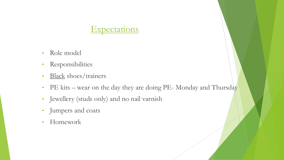#### **Expectations**

- Role model
- Responsibilities
- Black shoes/trainers
- PE kits wear on the day they are doing PE-Monday and Thursday
- Jewellery (studs only) and no nail varnish
- Jumpers and coats
- Homework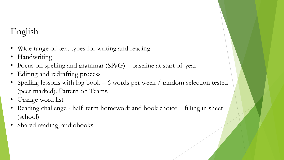#### English

- Wide range of text types for writing and reading
- Handwriting
- Focus on spelling and grammar (SPaG) baseline at start of year
- Editing and redrafting process
- Spelling lessons with log book 6 words per week / random selection tested (peer marked). Pattern on Teams.
- Orange word list
- Reading challenge half term homework and book choice filling in sheet (school)
- Shared reading, audiobooks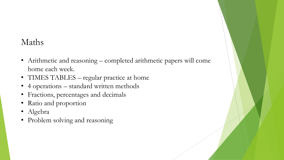#### Maths

- Arithmetic and reasoning completed arithmetic papers will come home each week.
- TIMES TABLES regular practice at home
- 4 operations standard written methods
- Fractions, percentages and decimals
- Ratio and proportion
- Algebra
- Problem solving and reasoning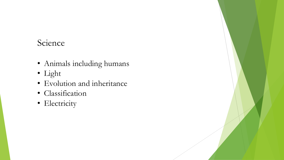#### Science

- Animals including humans
- Light
- Evolution and inheritance
- Classification
- Electricity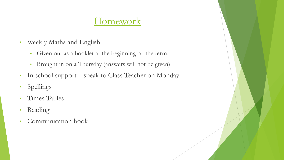## **Homework**

- Weekly Maths and English
	- Given out as a booklet at the beginning of the term.
	- Brought in on a Thursday (answers will not be given)
- In school support speak to Class Teacher on Monday
- Spellings
- Times Tables
- Reading
- Communication book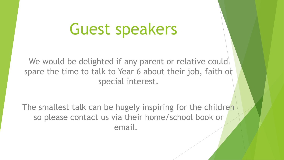# Guest speakers

We would be delighted if any parent or relative could spare the time to talk to Year 6 about their job, faith or special interest.

The smallest talk can be hugely inspiring for the children so please contact us via their home/school book or email.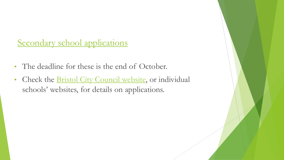### Secondary school applications

- The deadline for these is the end of October.
- Check the **Bristol City Council website**, or individual schools' websites, for details on applications.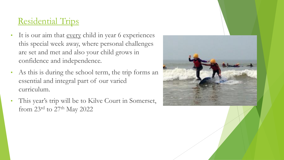### Residential Trips

- It is our aim that <u>every</u> child in year 6 experiences this special week away, where personal challenges are set and met and also your child grows in confidence and independence.
- As this is during the school term, the trip forms an essential and integral part of our varied curriculum.
- This year's trip will be to Kilve Court in Somerset, from 23rd to 27th May 2022

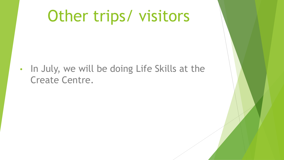# Other trips/ visitors

• In July, we will be doing Life Skills at the Create Centre.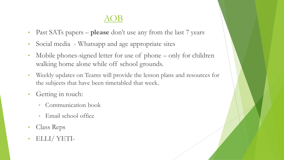#### AOB

- Past SATs papers **please** don't use any from the last 7 years
- Social media Whatsapp and age appropriate sites
- Mobile phones-signed letter for use of phone only for children walking home alone while off school grounds.
- Weekly updates on Teams will provide the lesson plans and resources for the subjects that have been timetabled that week.
- Getting in touch:
	- Communication book
	- Email school office
- Class Reps
- ELLI/ YETI-